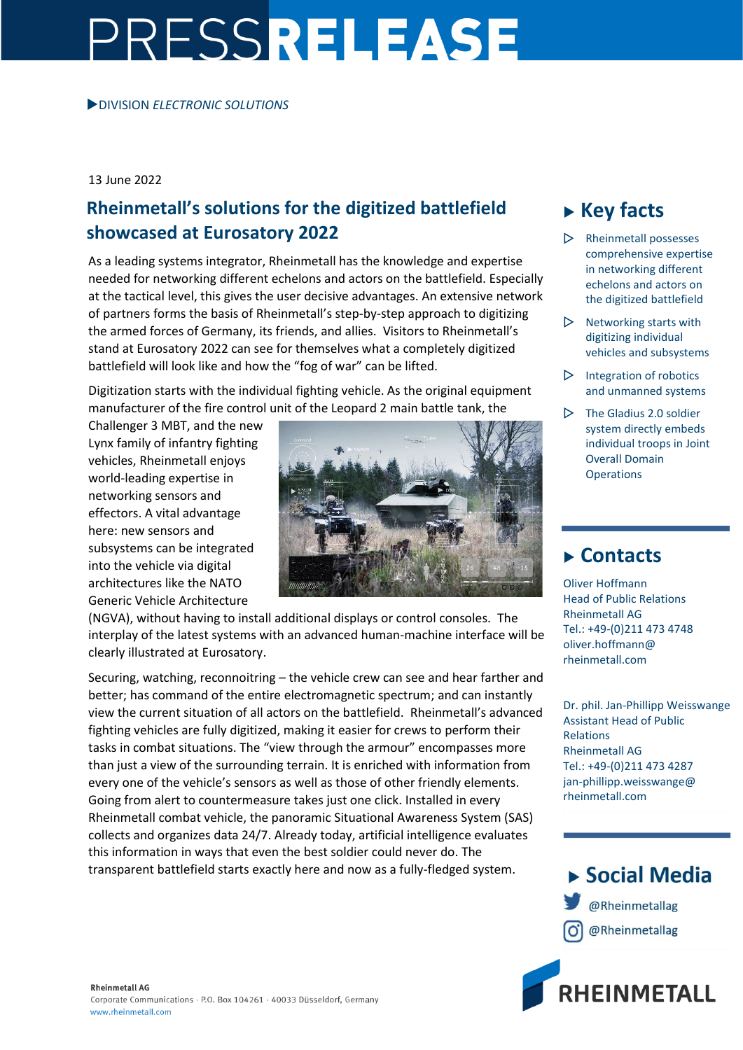# PRESSRELEASE

#### 13 June 2022

#### **Rheinmetall's solutions for the digitized battlefield showcased at Eurosatory 2022**

As a leading systems integrator, Rheinmetall has the knowledge and expertise needed for networking different echelons and actors on the battlefield. Especially at the tactical level, this gives the user decisive advantages. An extensive network of partners forms the basis of Rheinmetall's step-by-step approach to digitizing the armed forces of Germany, its friends, and allies. Visitors to Rheinmetall's stand at Eurosatory 2022 can see for themselves what a completely digitized battlefield will look like and how the "fog of war" can be lifted.

Digitization starts with the individual fighting vehicle. As the original equipment manufacturer of the fire control unit of the Leopard 2 main battle tank, the

Challenger 3 MBT, and the new Lynx family of infantry fighting vehicles, Rheinmetall enjoys world-leading expertise in networking sensors and effectors. A vital advantage here: new sensors and subsystems can be integrated into the vehicle via digital architectures like the NATO Generic Vehicle Architecture



(NGVA), without having to install additional displays or control consoles. The interplay of the latest systems with an advanced human-machine interface will be clearly illustrated at Eurosatory.

Securing, watching, reconnoitring – the vehicle crew can see and hear farther and better; has command of the entire electromagnetic spectrum; and can instantly view the current situation of all actors on the battlefield. Rheinmetall's advanced fighting vehicles are fully digitized, making it easier for crews to perform their tasks in combat situations. The "view through the armour" encompasses more than just a view of the surrounding terrain. It is enriched with information from every one of the vehicle's sensors as well as those of other friendly elements. Going from alert to countermeasure takes just one click. Installed in every Rheinmetall combat vehicle, the panoramic Situational Awareness System (SAS) collects and organizes data 24/7. Already today, artificial intelligence evaluates this information in ways that even the best soldier could never do. The transparent battlefield starts exactly here and now as a fully-fledged system.

### **Key facts**

- $\triangleright$  Rheinmetall possesses comprehensive expertise in networking different echelons and actors on the digitized battlefield
- $\triangleright$  Networking starts with digitizing individual vehicles and subsystems
- $\triangleright$  Integration of robotics and unmanned systems
- $\triangleright$  The Gladius 2.0 soldier system directly embeds individual troops in Joint Overall Domain **Operations**

#### **Contacts**

Oliver Hoffmann Head of Public Relations Rheinmetall AG Tel.: +49-(0)211 473 4748 oliver.hoffmann@ rheinmetall.com

Dr. phil. Jan-Phillipp Weisswange Assistant Head of Public Relations Rheinmetall AG Tel.: +49-(0)211 473 4287 jan-phillipp.weisswange@ rheinmetall.com

## ▶ Social Media @Rheinmetallag @Rheinmetallag

**RHEINMETALL**